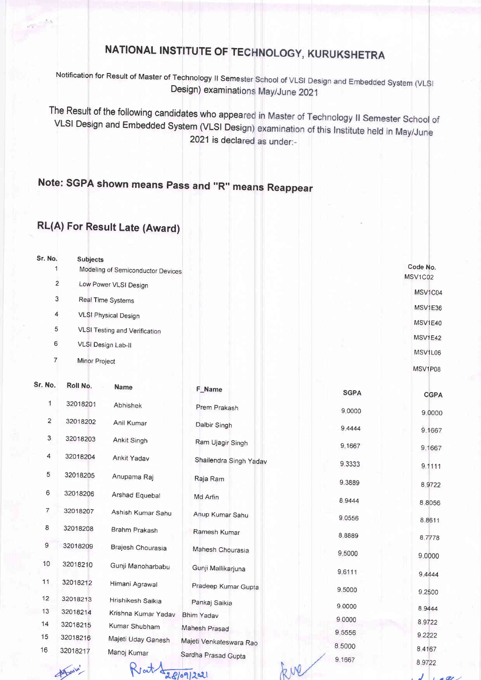## NATIONAL INSTITUTE OF TECHNOLOGY, KURUKSHETRA

Notification for Result of Master of Technology II Semester School of VLSI Design and Embedded System (VLSI Design) examinations May/June 2021

The Result of the following candidates who appeared in Master of Technology II Semester School of VLSI Design and Embedded System (VLSI Design) examination of this Institute held in May/June 2021 is declared as under:-

## Note: SGPA shown means pass and "R" means Reappear

## RL(A) For Result Late (Award)

| Sr. No.        | Subjects                          |          |
|----------------|-----------------------------------|----------|
|                | Modeling of Semiconductor Devices | Code No. |
| $\overline{2}$ | Low Power VLSI Design             | MSV1C02  |
| 3              | Real Time Systems                 | MSV1C04  |
| 4              | <b>VLSI Physical Design</b>       | MSV1E36  |
| 5              | VLSI Testing and Verification     | MSV1E40  |
| 6              | VLSI Design Lab-II                | MSV1E42  |
|                | Minor Project                     | MSV1L06  |
|                |                                   | MSV1P08  |

| Sr. No.        | Roll No. | <b>Name</b>         | F_Name                  | <b>SGPA</b> | <b>CGPA</b>      |
|----------------|----------|---------------------|-------------------------|-------------|------------------|
| 1              | 32018201 | Abhishek            | Prem Prakash            | 9.0000      | 9.0000           |
| $\overline{2}$ | 32018202 | Anil Kumar          | Dalbir Singh            | 9.4444      | 9.1667           |
| 3              | 32018203 | Ankit Singh         | Ram Ujagir Singh        | 9.1667      | 9.1667           |
| 4              | 32018204 | Ankit Yadav         | Shailendra Singh Yadav  | 9.3333      | 9.1111           |
| 5              | 32018205 | Anupama Raj         | Raja Ram                | 9.3889      |                  |
| 6              | 32018206 | Arshad Equebal      | Md Arfin                | 8.9444      | 8.9722           |
| $\overline{7}$ | 32018207 | Ashish Kumar Sahu   | Anup Kumar Sahu         | 9.0556      | 8.8056<br>8.8611 |
| 8              | 32018208 | Brahm Prakash       | Ramesh Kumar            | 8.8889      | 8.7778           |
| 9              | 32018209 | Brajesh Chourasia   | Mahesh Chourasia        | 9.5000      | 9.0000           |
| 10             | 32018210 | Gunji Manoharbabu   | Gunji Mallikarjuna      | 9.6111      |                  |
| 11             | 32018212 | Himani Agrawal      | Pradeep Kumar Gupta     | 9.5000      | 9.4444           |
| 12             | 32018213 | Hrishikesh Saikia   | Pankaj Saikia           |             | 9.2500           |
| 13             | 32018214 | Krishna Kumar Yadav | Bhim Yadav              | 9.0000      | 8 9 4 4 4        |
| 14             | 32018215 | Kumar Shubham       | Mahesh Prasad           | 9.0000      | 8.9722           |
| 15             | 32018216 | Majeti Uday Ganesh  |                         | 9.5556      | 9.2222           |
| 16             | 32018217 | Manoj Kumar         | Majeti Venkateswara Rao | 8.5000      | 8,4167           |
|                | Again'   |                     | Sardha Prasad Gupta     | 9.1667      | 8.9722           |
|                |          |                     | 28/09/2021              |             |                  |

 $J \rightarrow e \nu$